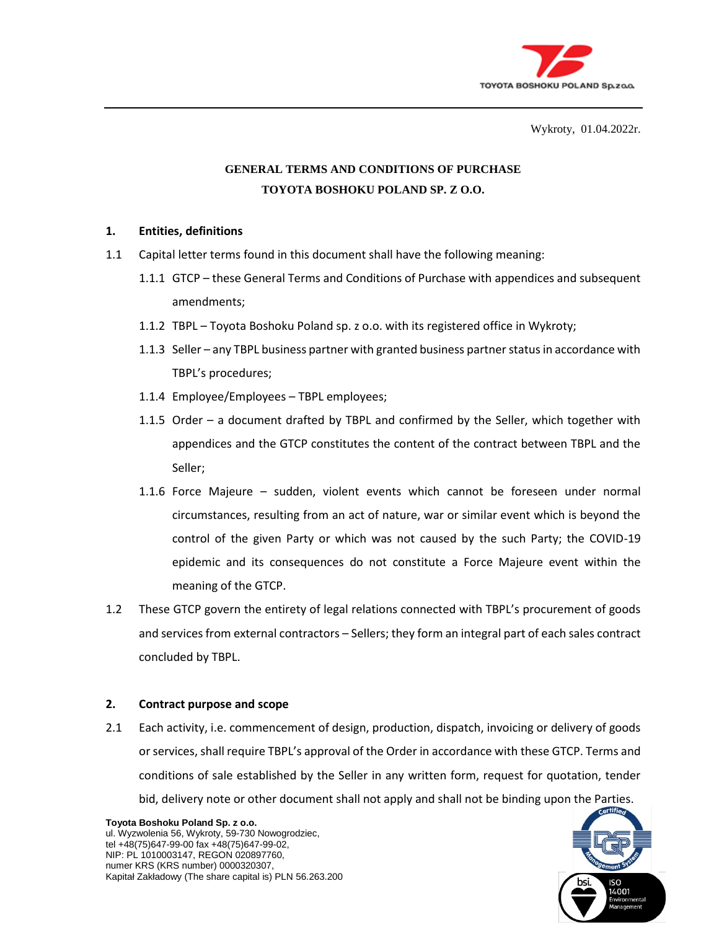

Wykroty, 01.04.2022r.

# **GENERAL TERMS AND CONDITIONS OF PURCHASE TOYOTA BOSHOKU POLAND SP. Z O.O.**

### **1. Entities, definitions**

- 1.1 Capital letter terms found in this document shall have the following meaning:
	- 1.1.1 GTCP these General Terms and Conditions of Purchase with appendices and subsequent amendments;
	- 1.1.2 TBPL Toyota Boshoku Poland sp. z o.o. with its registered office in Wykroty;
	- 1.1.3 Seller any TBPL business partner with granted business partner status in accordance with TBPL's procedures;
	- 1.1.4 Employee/Employees TBPL employees;
	- 1.1.5 Order a document drafted by TBPL and confirmed by the Seller, which together with appendices and the GTCP constitutes the content of the contract between TBPL and the Seller;
	- 1.1.6 Force Majeure sudden, violent events which cannot be foreseen under normal circumstances, resulting from an act of nature, war or similar event which is beyond the control of the given Party or which was not caused by the such Party; the COVID-19 epidemic and its consequences do not constitute a Force Majeure event within the meaning of the GTCP.
- 1.2 These GTCP govern the entirety of legal relations connected with TBPL's procurement of goods and services from external contractors – Sellers; they form an integral part of each sales contract concluded by TBPL.

### **2. Contract purpose and scope**

2.1 Each activity, i.e. commencement of design, production, dispatch, invoicing or delivery of goods or services, shall require TBPL's approval of the Order in accordance with these GTCP. Terms and conditions of sale established by the Seller in any written form, request for quotation, tender bid, delivery note or other document shall not apply and shall not be binding upon the Parties.



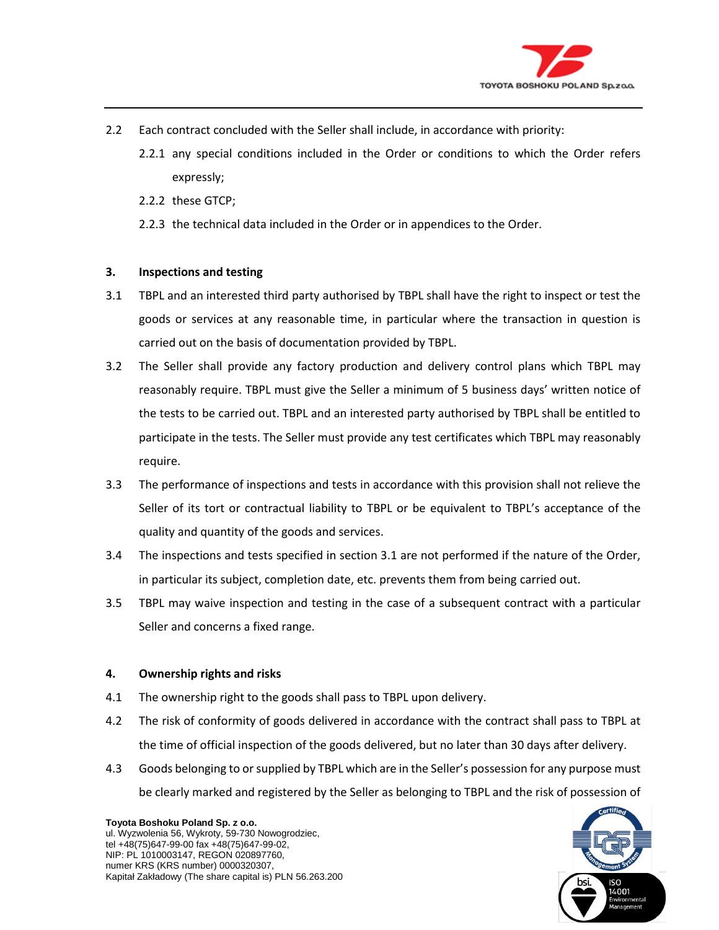

- 2.2 Each contract concluded with the Seller shall include, in accordance with priority:
	- 2.2.1 any special conditions included in the Order or conditions to which the Order refers expressly;
	- 2.2.2 these GTCP;
	- 2.2.3 the technical data included in the Order or in appendices to the Order.

### **3. Inspections and testing**

- 3.1 TBPL and an interested third party authorised by TBPL shall have the right to inspect or test the goods or services at any reasonable time, in particular where the transaction in question is carried out on the basis of documentation provided by TBPL.
- 3.2 The Seller shall provide any factory production and delivery control plans which TBPL may reasonably require. TBPL must give the Seller a minimum of 5 business days' written notice of the tests to be carried out. TBPL and an interested party authorised by TBPL shall be entitled to participate in the tests. The Seller must provide any test certificates which TBPL may reasonably require.
- 3.3 The performance of inspections and tests in accordance with this provision shall not relieve the Seller of its tort or contractual liability to TBPL or be equivalent to TBPL's acceptance of the quality and quantity of the goods and services.
- 3.4 The inspections and tests specified in section 3.1 are not performed if the nature of the Order, in particular its subject, completion date, etc. prevents them from being carried out.
- 3.5 TBPL may waive inspection and testing in the case of a subsequent contract with a particular Seller and concerns a fixed range.

### **4. Ownership rights and risks**

- 4.1 The ownership right to the goods shall pass to TBPL upon delivery.
- 4.2 The risk of conformity of goods delivered in accordance with the contract shall pass to TBPL at the time of official inspection of the goods delivered, but no later than 30 days after delivery.
- 4.3 Goods belonging to or supplied by TBPL which are in the Seller's possession for any purpose must be clearly marked and registered by the Seller as belonging to TBPL and the risk of possession of



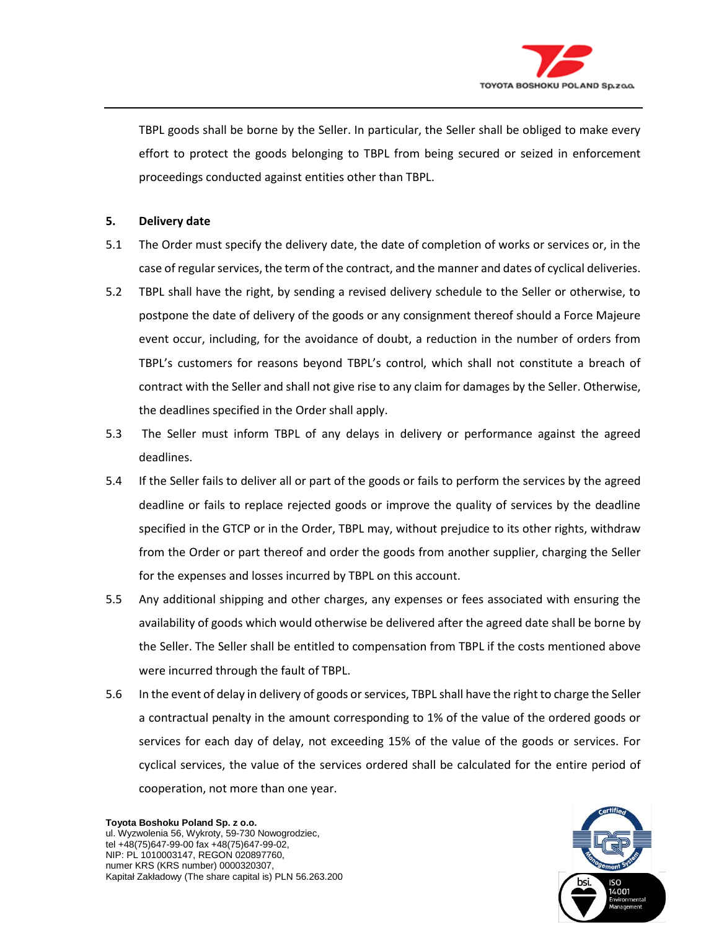

TBPL goods shall be borne by the Seller. In particular, the Seller shall be obliged to make every effort to protect the goods belonging to TBPL from being secured or seized in enforcement proceedings conducted against entities other than TBPL.

### **5. Delivery date**

- 5.1 The Order must specify the delivery date, the date of completion of works or services or, in the case of regular services, the term of the contract, and the manner and dates of cyclical deliveries.
- 5.2 TBPL shall have the right, by sending a revised delivery schedule to the Seller or otherwise, to postpone the date of delivery of the goods or any consignment thereof should a Force Majeure event occur, including, for the avoidance of doubt, a reduction in the number of orders from TBPL's customers for reasons beyond TBPL's control, which shall not constitute a breach of contract with the Seller and shall not give rise to any claim for damages by the Seller. Otherwise, the deadlines specified in the Order shall apply.
- 5.3 The Seller must inform TBPL of any delays in delivery or performance against the agreed deadlines.
- 5.4 If the Seller fails to deliver all or part of the goods or fails to perform the services by the agreed deadline or fails to replace rejected goods or improve the quality of services by the deadline specified in the GTCP or in the Order, TBPL may, without prejudice to its other rights, withdraw from the Order or part thereof and order the goods from another supplier, charging the Seller for the expenses and losses incurred by TBPL on this account.
- 5.5 Any additional shipping and other charges, any expenses or fees associated with ensuring the availability of goods which would otherwise be delivered after the agreed date shall be borne by the Seller. The Seller shall be entitled to compensation from TBPL if the costs mentioned above were incurred through the fault of TBPL.
- 5.6 In the event of delay in delivery of goods or services, TBPL shall have the right to charge the Seller a contractual penalty in the amount corresponding to 1% of the value of the ordered goods or services for each day of delay, not exceeding 15% of the value of the goods or services. For cyclical services, the value of the services ordered shall be calculated for the entire period of cooperation, not more than one year.

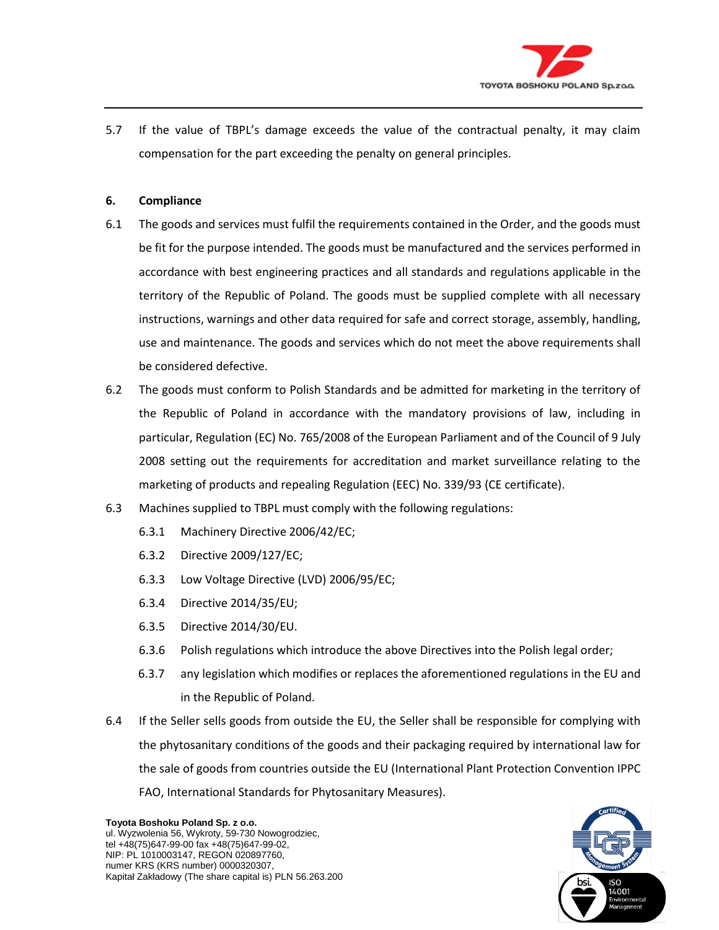

5.7 If the value of TBPL's damage exceeds the value of the contractual penalty, it may claim compensation for the part exceeding the penalty on general principles.

## **6. Compliance**

- 6.1 The goods and services must fulfil the requirements contained in the Order, and the goods must be fit for the purpose intended. The goods must be manufactured and the services performed in accordance with best engineering practices and all standards and regulations applicable in the territory of the Republic of Poland. The goods must be supplied complete with all necessary instructions, warnings and other data required for safe and correct storage, assembly, handling, use and maintenance. The goods and services which do not meet the above requirements shall be considered defective.
- 6.2 The goods must conform to Polish Standards and be admitted for marketing in the territory of the Republic of Poland in accordance with the mandatory provisions of law, including in particular, Regulation (EC) No. 765/2008 of the European Parliament and of the Council of 9 July 2008 setting out the requirements for accreditation and market surveillance relating to the marketing of products and repealing Regulation (EEC) No. 339/93 (CE certificate).
- 6.3 Machines supplied to TBPL must comply with the following regulations:
	- 6.3.1 Machinery Directive 2006/42/EC;
	- 6.3.2 Directive 2009/127/EC;
	- 6.3.3 Low Voltage Directive (LVD) 2006/95/EC;
	- 6.3.4 Directive 2014/35/EU;
	- 6.3.5 Directive 2014/30/EU.
	- 6.3.6 Polish regulations which introduce the above Directives into the Polish legal order;
	- 6.3.7 any legislation which modifies or replaces the aforementioned regulations in the EU and in the Republic of Poland.
- 6.4 If the Seller sells goods from outside the EU, the Seller shall be responsible for complying with the phytosanitary conditions of the goods and their packaging required by international law for the sale of goods from countries outside the EU (International Plant Protection Convention IPPC FAO, International Standards for Phytosanitary Measures).



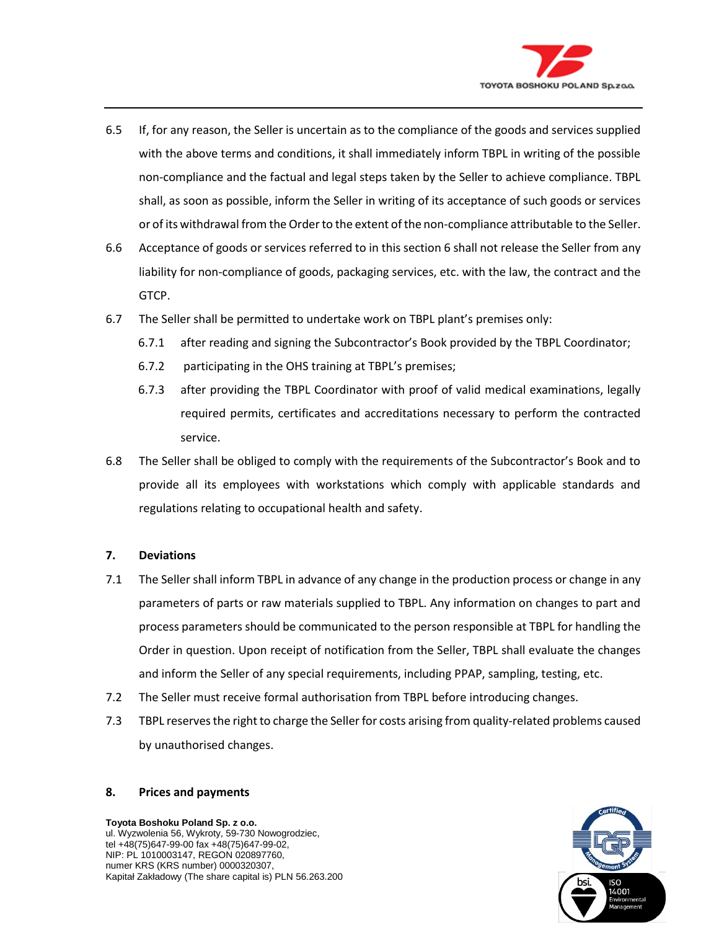

- 6.5 If, for any reason, the Seller is uncertain as to the compliance of the goods and services supplied with the above terms and conditions, it shall immediately inform TBPL in writing of the possible non-compliance and the factual and legal steps taken by the Seller to achieve compliance. TBPL shall, as soon as possible, inform the Seller in writing of its acceptance of such goods or services or of its withdrawal from the Order to the extent of the non-compliance attributable to the Seller.
- 6.6 Acceptance of goods or services referred to in this section 6 shall not release the Seller from any liability for non-compliance of goods, packaging services, etc. with the law, the contract and the GTCP.
- 6.7 The Seller shall be permitted to undertake work on TBPL plant's premises only:
	- 6.7.1 after reading and signing the Subcontractor's Book provided by the TBPL Coordinator;
	- 6.7.2 participating in the OHS training at TBPL's premises;
	- 6.7.3 after providing the TBPL Coordinator with proof of valid medical examinations, legally required permits, certificates and accreditations necessary to perform the contracted service.
- 6.8 The Seller shall be obliged to comply with the requirements of the Subcontractor's Book and to provide all its employees with workstations which comply with applicable standards and regulations relating to occupational health and safety.

### **7. Deviations**

- 7.1 The Seller shall inform TBPL in advance of any change in the production process or change in any parameters of parts or raw materials supplied to TBPL. Any information on changes to part and process parameters should be communicated to the person responsible at TBPL for handling the Order in question. Upon receipt of notification from the Seller, TBPL shall evaluate the changes and inform the Seller of any special requirements, including PPAP, sampling, testing, etc.
- 7.2 The Seller must receive formal authorisation from TBPL before introducing changes.
- 7.3 TBPL reserves the right to charge the Seller for costs arising from quality-related problems caused by unauthorised changes.

### **8. Prices and payments**



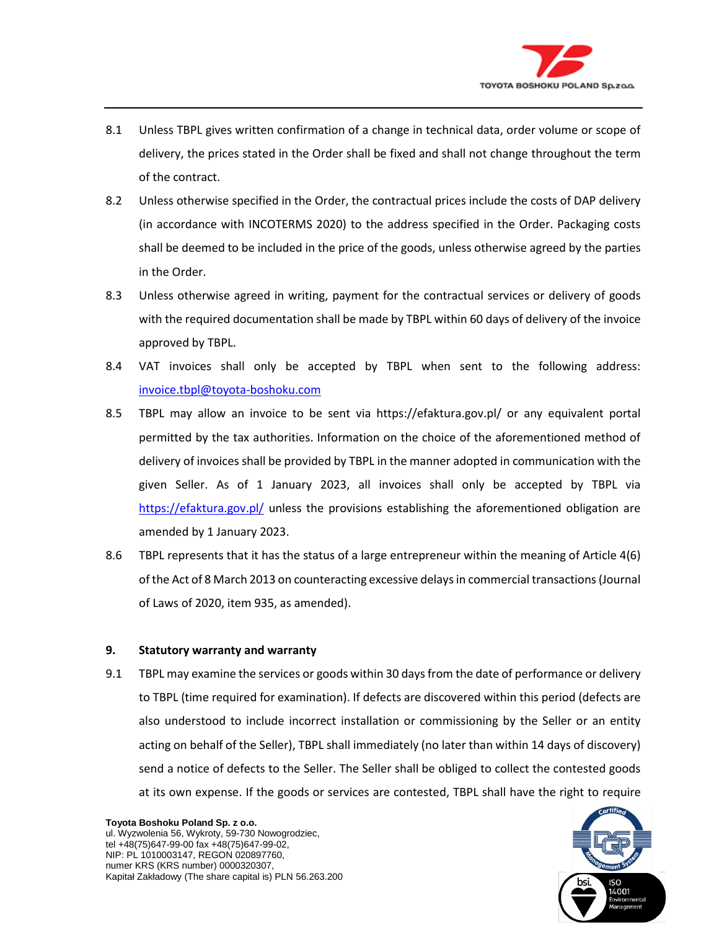

- 8.1 Unless TBPL gives written confirmation of a change in technical data, order volume or scope of delivery, the prices stated in the Order shall be fixed and shall not change throughout the term of the contract.
- 8.2 Unless otherwise specified in the Order, the contractual prices include the costs of DAP delivery (in accordance with INCOTERMS 2020) to the address specified in the Order. Packaging costs shall be deemed to be included in the price of the goods, unless otherwise agreed by the parties in the Order.
- 8.3 Unless otherwise agreed in writing, payment for the contractual services or delivery of goods with the required documentation shall be made by TBPL within 60 days of delivery of the invoice approved by TBPL.
- 8.4 VAT invoices shall only be accepted by TBPL when sent to the following address: [invoice.tbpl@toyota-boshoku.com](mailto:invoice.tbpl@toyota-boshoku.com)
- 8.5 TBPL may allow an invoice to be sent via https://efaktura.gov.pl/ or any equivalent portal permitted by the tax authorities. Information on the choice of the aforementioned method of delivery of invoices shall be provided by TBPL in the manner adopted in communication with the given Seller. As of 1 January 2023, all invoices shall only be accepted by TBPL via <https://efaktura.gov.pl/> unless the provisions establishing the aforementioned obligation are amended by 1 January 2023.
- 8.6 TBPL represents that it has the status of a large entrepreneur within the meaning of Article 4(6) of the Act of 8 March 2013 on counteracting excessive delays in commercial transactions (Journal of Laws of 2020, item 935, as amended).

### **9. Statutory warranty and warranty**

9.1 TBPL may examine the services or goods within 30 days from the date of performance or delivery to TBPL (time required for examination). If defects are discovered within this period (defects are also understood to include incorrect installation or commissioning by the Seller or an entity acting on behalf of the Seller), TBPL shall immediately (no later than within 14 days of discovery) send a notice of defects to the Seller. The Seller shall be obliged to collect the contested goods at its own expense. If the goods or services are contested, TBPL shall have the right to require



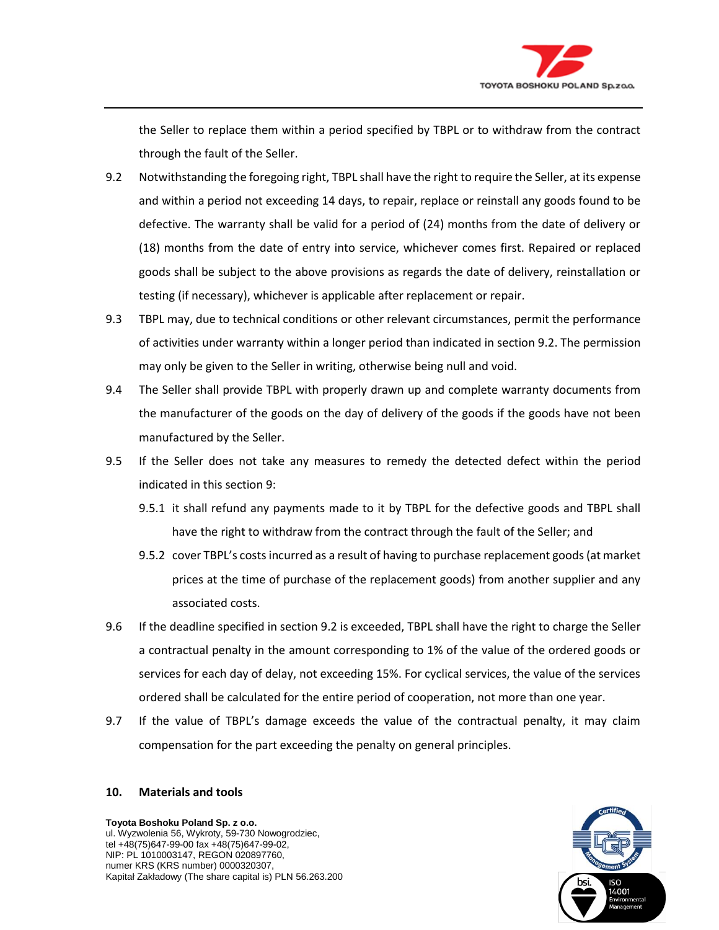

the Seller to replace them within a period specified by TBPL or to withdraw from the contract through the fault of the Seller.

- 9.2 Notwithstanding the foregoing right, TBPL shall have the right to require the Seller, at its expense and within a period not exceeding 14 days, to repair, replace or reinstall any goods found to be defective. The warranty shall be valid for a period of (24) months from the date of delivery or (18) months from the date of entry into service, whichever comes first. Repaired or replaced goods shall be subject to the above provisions as regards the date of delivery, reinstallation or testing (if necessary), whichever is applicable after replacement or repair.
- 9.3 TBPL may, due to technical conditions or other relevant circumstances, permit the performance of activities under warranty within a longer period than indicated in section 9.2. The permission may only be given to the Seller in writing, otherwise being null and void.
- 9.4 The Seller shall provide TBPL with properly drawn up and complete warranty documents from the manufacturer of the goods on the day of delivery of the goods if the goods have not been manufactured by the Seller.
- 9.5 If the Seller does not take any measures to remedy the detected defect within the period indicated in this section 9:
	- 9.5.1 it shall refund any payments made to it by TBPL for the defective goods and TBPL shall have the right to withdraw from the contract through the fault of the Seller; and
	- 9.5.2 cover TBPL's costs incurred as a result of having to purchase replacement goods (at market prices at the time of purchase of the replacement goods) from another supplier and any associated costs.
- 9.6 If the deadline specified in section 9.2 is exceeded, TBPL shall have the right to charge the Seller a contractual penalty in the amount corresponding to 1% of the value of the ordered goods or services for each day of delay, not exceeding 15%. For cyclical services, the value of the services ordered shall be calculated for the entire period of cooperation, not more than one year.
- 9.7 If the value of TBPL's damage exceeds the value of the contractual penalty, it may claim compensation for the part exceeding the penalty on general principles.

### **10. Materials and tools**



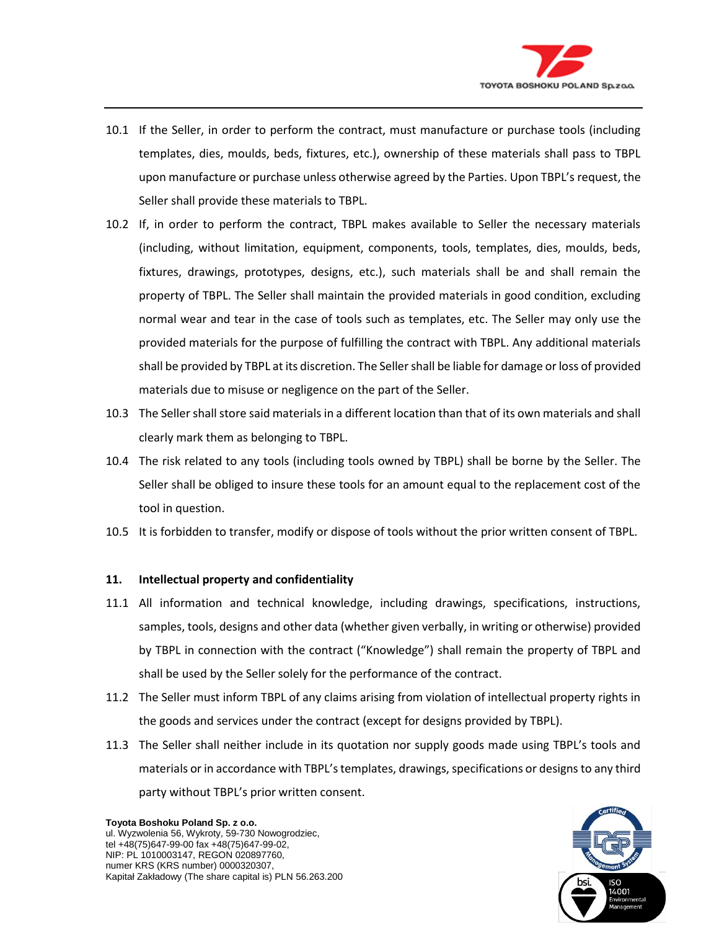

- 10.1 If the Seller, in order to perform the contract, must manufacture or purchase tools (including templates, dies, moulds, beds, fixtures, etc.), ownership of these materials shall pass to TBPL upon manufacture or purchase unless otherwise agreed by the Parties. Upon TBPL's request, the Seller shall provide these materials to TBPL.
- 10.2 If, in order to perform the contract, TBPL makes available to Seller the necessary materials (including, without limitation, equipment, components, tools, templates, dies, moulds, beds, fixtures, drawings, prototypes, designs, etc.), such materials shall be and shall remain the property of TBPL. The Seller shall maintain the provided materials in good condition, excluding normal wear and tear in the case of tools such as templates, etc. The Seller may only use the provided materials for the purpose of fulfilling the contract with TBPL. Any additional materials shall be provided by TBPL at its discretion. The Seller shall be liable for damage or loss of provided materials due to misuse or negligence on the part of the Seller.
- 10.3 The Seller shall store said materials in a different location than that of its own materials and shall clearly mark them as belonging to TBPL.
- 10.4 The risk related to any tools (including tools owned by TBPL) shall be borne by the Seller. The Seller shall be obliged to insure these tools for an amount equal to the replacement cost of the tool in question.
- 10.5 It is forbidden to transfer, modify or dispose of tools without the prior written consent of TBPL.

### **11. Intellectual property and confidentiality**

- 11.1 All information and technical knowledge, including drawings, specifications, instructions, samples, tools, designs and other data (whether given verbally, in writing or otherwise) provided by TBPL in connection with the contract ("Knowledge") shall remain the property of TBPL and shall be used by the Seller solely for the performance of the contract.
- 11.2 The Seller must inform TBPL of any claims arising from violation of intellectual property rights in the goods and services under the contract (except for designs provided by TBPL).
- 11.3 The Seller shall neither include in its quotation nor supply goods made using TBPL's tools and materials or in accordance with TBPL's templates, drawings, specifications or designs to any third party without TBPL's prior written consent.



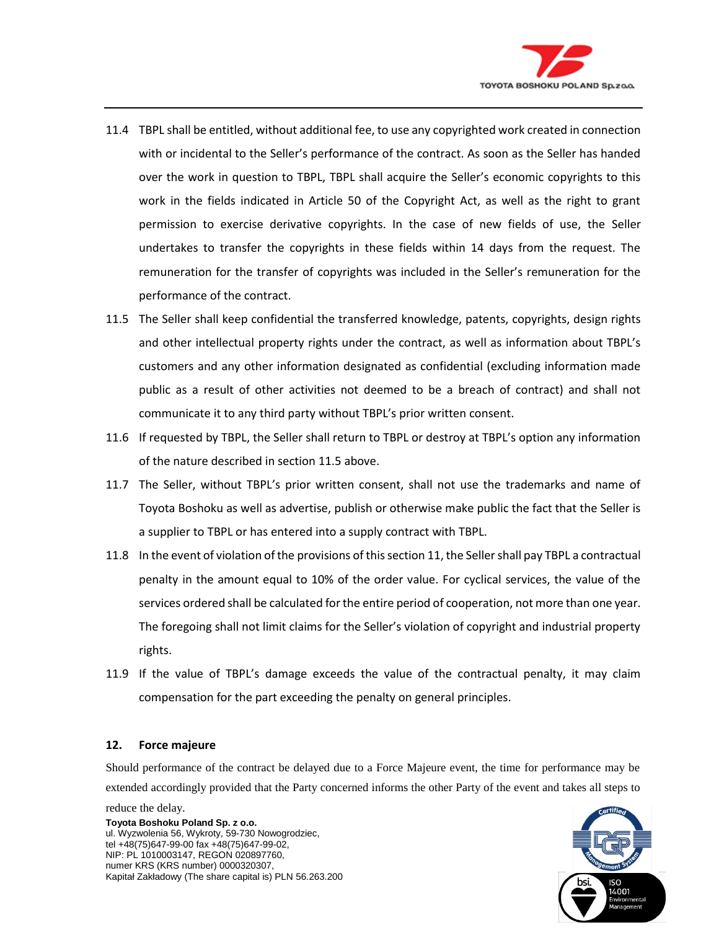

- 11.4 TBPL shall be entitled, without additional fee, to use any copyrighted work created in connection with or incidental to the Seller's performance of the contract. As soon as the Seller has handed over the work in question to TBPL, TBPL shall acquire the Seller's economic copyrights to this work in the fields indicated in Article 50 of the Copyright Act, as well as the right to grant permission to exercise derivative copyrights. In the case of new fields of use, the Seller undertakes to transfer the copyrights in these fields within 14 days from the request. The remuneration for the transfer of copyrights was included in the Seller's remuneration for the performance of the contract.
- 11.5 The Seller shall keep confidential the transferred knowledge, patents, copyrights, design rights and other intellectual property rights under the contract, as well as information about TBPL's customers and any other information designated as confidential (excluding information made public as a result of other activities not deemed to be a breach of contract) and shall not communicate it to any third party without TBPL's prior written consent.
- 11.6 If requested by TBPL, the Seller shall return to TBPL or destroy at TBPL's option any information of the nature described in section 11.5 above.
- 11.7 The Seller, without TBPL's prior written consent, shall not use the trademarks and name of Toyota Boshoku as well as advertise, publish or otherwise make public the fact that the Seller is a supplier to TBPL or has entered into a supply contract with TBPL.
- 11.8 In the event of violation of the provisions of this section 11, the Seller shall pay TBPL a contractual penalty in the amount equal to 10% of the order value. For cyclical services, the value of the services ordered shall be calculated for the entire period of cooperation, not more than one year. The foregoing shall not limit claims for the Seller's violation of copyright and industrial property rights.
- 11.9 If the value of TBPL's damage exceeds the value of the contractual penalty, it may claim compensation for the part exceeding the penalty on general principles.

#### **12. Force majeure**

Should performance of the contract be delayed due to a Force Majeure event, the time for performance may be extended accordingly provided that the Party concerned informs the other Party of the event and takes all steps to



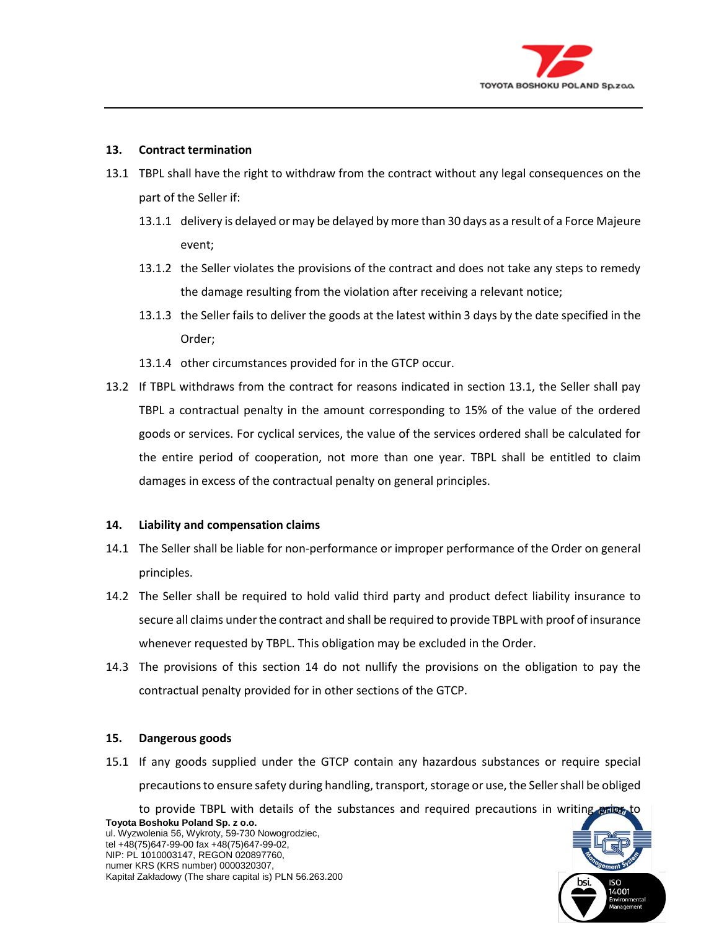

### **13. Contract termination**

- 13.1 TBPL shall have the right to withdraw from the contract without any legal consequences on the part of the Seller if:
	- 13.1.1 delivery is delayed or may be delayed by more than 30 days as a result of a Force Majeure event;
	- 13.1.2 the Seller violates the provisions of the contract and does not take any steps to remedy the damage resulting from the violation after receiving a relevant notice;
	- 13.1.3 the Seller fails to deliver the goods at the latest within 3 days by the date specified in the Order;
	- 13.1.4 other circumstances provided for in the GTCP occur.
- 13.2 If TBPL withdraws from the contract for reasons indicated in section 13.1, the Seller shall pay TBPL a contractual penalty in the amount corresponding to 15% of the value of the ordered goods or services. For cyclical services, the value of the services ordered shall be calculated for the entire period of cooperation, not more than one year. TBPL shall be entitled to claim damages in excess of the contractual penalty on general principles.

### **14. Liability and compensation claims**

- 14.1 The Seller shall be liable for non-performance or improper performance of the Order on general principles.
- 14.2 The Seller shall be required to hold valid third party and product defect liability insurance to secure all claims under the contract and shall be required to provide TBPL with proof of insurance whenever requested by TBPL. This obligation may be excluded in the Order.
- 14.3 The provisions of this section 14 do not nullify the provisions on the obligation to pay the contractual penalty provided for in other sections of the GTCP.

### **15. Dangerous goods**

15.1 If any goods supplied under the GTCP contain any hazardous substances or require special precautions to ensure safety during handling, transport, storage or use, the Seller shall be obliged

**Toyota Boshoku Poland Sp. z o.o.** ul. Wyzwolenia 56, Wykroty, 59-730 Nowogrodziec, to provide TBPL with details of the substances and required precautions in writing prior to